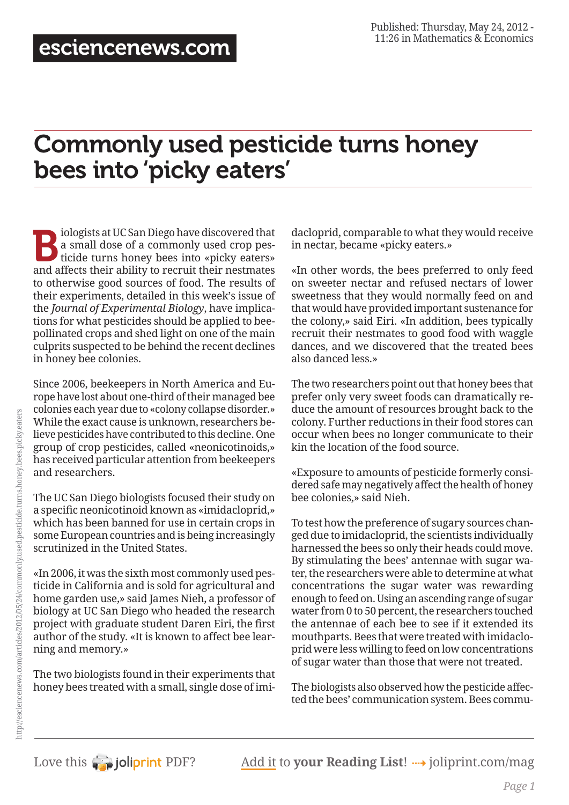## Commonly used pesticide turns honey bees into 'picky eaters'

tiologists at UC San Diego have discovered that<br>
a small dose of a commonly used crop pes-<br>
ticide turns honey bees into «picky eaters»<br>
and affects their ability to recruit their nest<br>
and affects their ability to recruit a small dose of a commonly used crop pesand affects their ability to recruit their nestmates to otherwise good sources of food. The results of their experiments, detailed in this week's issue of the *Journal of Experimental Biology*, have implications for what pesticides should be applied to beepollinated crops and shed light on one of the main culprits suspected to be behind the recent declines in honey bee colonies.

Since 2006, beekeepers in North America and Europe have lost about one-third of their managed bee colonies each year due to «colony collapse disorder.» While the exact cause is unknown, researchers believe pesticides have contributed to this decline. One group of crop pesticides, called «neonicotinoids,» has received particular attention from beekeepers and researchers.

The UC San Diego biologists focused their study on a specific neonicotinoid known as «imidacloprid,» which has been banned for use in certain crops in some European countries and is being increasingly scrutinized in the United States.

«In 2006, it was the sixth most commonly used pesticide in California and is sold for agricultural and home garden use,» said James Nieh, a professor of biology at UC San Diego who headed the research project with graduate student Daren Eiri, the first author of the study. «It is known to affect bee learning and memory.»

The two biologists found in their experiments that honey bees treated with a small, single dose of imidacloprid, comparable to what they would receive in nectar, became «picky eaters.»

«In other words, the bees preferred to only feed on sweeter nectar and refused nectars of lower sweetness that they would normally feed on and that would have provided important sustenance for the colony,» said Eiri. «In addition, bees typically recruit their nestmates to good food with waggle dances, and we discovered that the treated bees also danced less.»

The two researchers point out that honey bees that prefer only very sweet foods can dramatically reduce the amount of resources brought back to the colony. Further reductions in their food stores can occur when bees no longer communicate to their kin the location of the food source.

«Exposure to amounts of pesticide formerly considered safe may negatively affect the health of honey bee colonies,» said Nieh.

To test how the preference of sugary sources changed due to imidacloprid, the scientists individually harnessed the bees so only their heads could move. By stimulating the bees' antennae with sugar water, the researchers were able to determine at what concentrations the sugar water was rewarding enough to feed on. Using an ascending range of sugar water from 0 to 50 percent, the researchers touched the antennae of each bee to see if it extended its mouthparts. Bees that were treated with imidacloprid were less willing to feed on low concentrations of sugar water than those that were not treated.

The biologists also observed how the pesticide affected the bees' communication system. Bees commu-